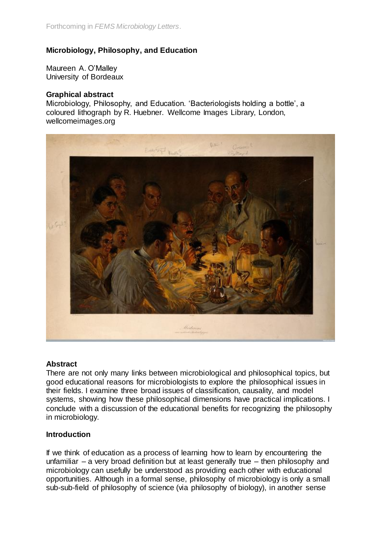### **Microbiology, Philosophy, and Education**

Maureen A. O'Malley University of Bordeaux

#### **Graphical abstract**

Microbiology, Philosophy, and Education. 'Bacteriologists holding a bottle', a coloured lithograph by R. Huebner. Wellcome Images Library, London, wellcomeimages.org



#### **Abstract**

There are not only many links between microbiological and philosophical topics, but good educational reasons for microbiologists to explore the philosophical issues in their fields. I examine three broad issues of classification, causality, and model systems, showing how these philosophical dimensions have practical implications. I conclude with a discussion of the educational benefits for recognizing the philosophy in microbiology.

#### **Introduction**

If we think of education as a process of learning how to learn by encountering the unfamiliar – a very broad definition but at least generally true – then philosophy and microbiology can usefully be understood as providing each other with educational opportunities. Although in a formal sense, philosophy of microbiology is only a small sub-sub-field of philosophy of science (via philosophy of biology), in another sense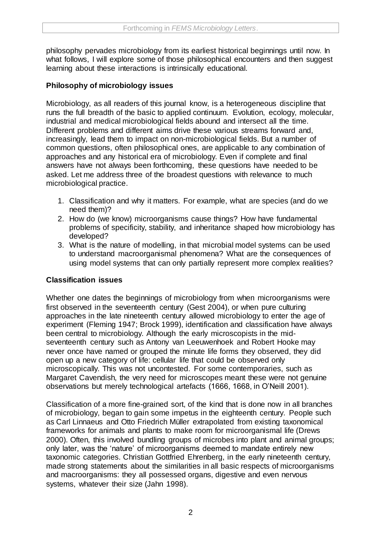philosophy pervades microbiology from its earliest historical beginnings until now. In what follows, I will explore some of those philosophical encounters and then suggest learning about these interactions is intrinsically educational.

## **Philosophy of microbiology issues**

Microbiology, as all readers of this journal know, is a heterogeneous discipline that runs the full breadth of the basic to applied continuum. Evolution, ecology, molecular, industrial and medical microbiological fields abound and intersect all the time. Different problems and different aims drive these various streams forward and, increasingly, lead them to impact on non-microbiological fields. But a number of common questions, often philosophical ones, are applicable to any combination of approaches and any historical era of microbiology. Even if complete and final answers have not always been forthcoming, these questions have needed to be asked. Let me address three of the broadest questions with relevance to much microbiological practice.

- 1. Classification and why it matters. For example, what are species (and do we need them)?
- 2. How do (we know) microorganisms cause things? How have fundamental problems of specificity, stability, and inheritance shaped how microbiology has developed?
- 3. What is the nature of modelling, in that microbial model systems can be used to understand macroorganismal phenomena? What are the consequences of using model systems that can only partially represent more complex realities?

#### **Classification issues**

Whether one dates the beginnings of microbiology from when microorganisms were first observed in the seventeenth century (Gest 2004), or when pure culturing approaches in the late nineteenth century allowed microbiology to enter the age of experiment (Fleming 1947; Brock 1999), identification and classification have always been central to microbiology. Although the early microscopists in the midseventeenth century such as Antony van Leeuwenhoek and Robert Hooke may never once have named or grouped the minute life forms they observed, they did open up a new category of life: cellular life that could be observed only microscopically. This was not uncontested. For some contemporaries, such as Margaret Cavendish, the very need for microscopes meant these were not genuine observations but merely technological artefacts (1666, 1668, in O'Neill 2001).

Classification of a more fine-grained sort, of the kind that is done now in all branches of microbiology, began to gain some impetus in the eighteenth century. People such as Carl Linnaeus and Otto Friedrich Müller extrapolated from existing taxonomical frameworks for animals and plants to make room for microorganismal life (Drews 2000). Often, this involved bundling groups of microbes into plant and animal groups; only later, was the 'nature' of microorganisms deemed to mandate entirely new taxonomic categories. Christian Gottfried Ehrenberg, in the early nineteenth century, made strong statements about the similarities in all basic respects of microorganisms and macroorganisms: they all possessed organs, digestive and even nervous systems, whatever their size (Jahn 1998).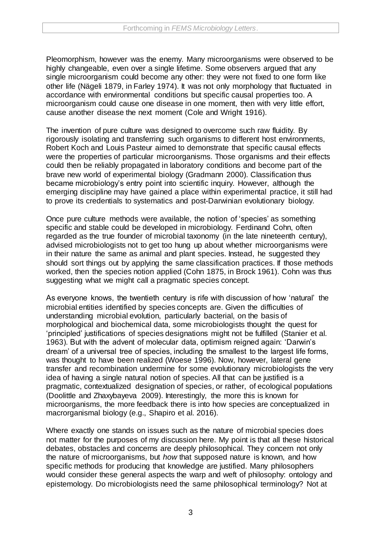Pleomorphism, however was the enemy. Many microorganisms were observed to be highly changeable, even over a single lifetime. Some observers argued that any single microorganism could become any other: they were not fixed to one form like other life (Nägeli 1879, in Farley 1974). It was not only morphology that fluctuated in accordance with environmental conditions but specific causal properties too. A microorganism could cause one disease in one moment, then with very little effort, cause another disease the next moment (Cole and Wright 1916).

The invention of pure culture was designed to overcome such raw fluidity. By rigorously isolating and transferring such organisms to different host environments, Robert Koch and Louis Pasteur aimed to demonstrate that specific causal effects were the properties of particular microorganisms. Those organisms and their effects could then be reliably propagated in laboratory conditions and become part of the brave new world of experimental biology (Gradmann 2000). Classification thus became microbiology's entry point into scientific inquiry. However, although the emerging discipline may have gained a place within experimental practice, it still had to prove its credentials to systematics and post-Darwinian evolutionary biology.

Once pure culture methods were available, the notion of 'species' as something specific and stable could be developed in microbiology. Ferdinand Cohn, often regarded as the true founder of microbial taxonomy (in the late nineteenth century), advised microbiologists not to get too hung up about whether microorganisms were in their nature the same as animal and plant species. Instead, he suggested they should sort things out by applying the same classification practices. If those methods worked, then the species notion applied (Cohn 1875, in Brock 1961). Cohn was thus suggesting what we might call a pragmatic species concept.

As everyone knows, the twentieth century is rife with discussion of how 'natural' the microbial entities identified by species concepts are. Given the difficulties of understanding microbial evolution, particularly bacterial, on the basis of morphological and biochemical data, some microbiologists thought the quest for 'principled' justifications of species designations might not be fulfilled (Stanier et al. 1963). But with the advent of molecular data, optimism reigned again: 'Darwin's dream' of a universal tree of species, including the smallest to the largest life forms, was thought to have been realized (Woese 1996). Now, however, lateral gene transfer and recombination undermine for some evolutionary microbiologists the very idea of having a single natural notion of species. All that can be justified is a pragmatic, contextualized designation of species, or rather, of ecological populations (Doolittle and Zhaxybayeva 2009). Interestingly, the more this is known for microorganisms, the more feedback there is into how species are conceptualized in macrorganismal biology (e.g., Shapiro et al. 2016).

Where exactly one stands on issues such as the nature of microbial species does not matter for the purposes of my discussion here. My point is that all these historical debates, obstacles and concerns are deeply philosophical. They concern not only the nature of microorganisms, but *how* that supposed nature is known, and how specific methods for producing that knowledge are justified. Many philosophers would consider these general aspects the warp and weft of philosophy: ontology and epistemology. Do microbiologists need the same philosophical terminology? Not at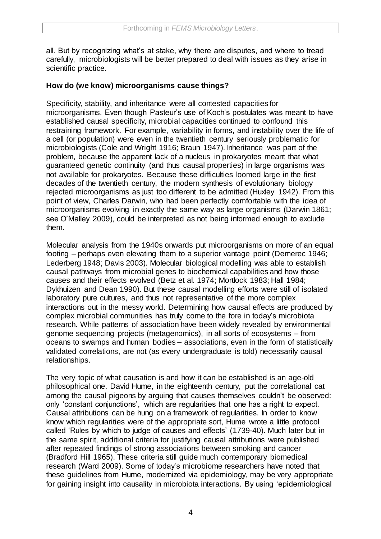all. But by recognizing what's at stake, why there are disputes, and where to tread carefully, microbiologists will be better prepared to deal with issues as they arise in scientific practice.

### **How do (we know) microorganisms cause things?**

Specificity, stability, and inheritance were all contested capacities for microorganisms. Even though Pasteur's use of Koch's postulates was meant to have established causal specificity, microbial capacities continued to confound this restraining framework. For example, variability in forms, and instability over the life of a cell (or population) were even in the twentieth century seriously problematic for microbiologists (Cole and Wright 1916; Braun 1947). Inheritance was part of the problem, because the apparent lack of a nucleus in prokaryotes meant that what guaranteed genetic continuity (and thus causal properties) in large organisms was not available for prokaryotes. Because these difficulties loomed large in the first decades of the twentieth century, the modern synthesis of evolutionary biology rejected microorganisms as just too different to be admitted (Huxley 1942). From this point of view, Charles Darwin, who had been perfectly comfortable with the idea of microorganisms evolving in exactly the same way as large organisms (Darwin 1861; see O'Malley 2009), could be interpreted as not being informed enough to exclude them.

Molecular analysis from the 1940s onwards put microorganisms on more of an equal footing – perhaps even elevating them to a superior vantage point (Demerec 1946; Lederberg 1948; Davis 2003). Molecular biological modelling was able to establish causal pathways from microbial genes to biochemical capabilities and how those causes and their effects evolved (Betz et al. 1974; Mortlock 1983; Hall 1984; Dykhuizen and Dean 1990). But these causal modelling efforts were still of isolated laboratory pure cultures, and thus not representative of the more complex interactions out in the messy world. Determining how causal effects are produced by complex microbial communities has truly come to the fore in today's microbiota research. While patterns of association have been widely revealed by environmental genome sequencing projects (metagenomics), in all sorts of ecosystems – from oceans to swamps and human bodies – associations, even in the form of statistically validated correlations, are not (as every undergraduate is told) necessarily causal relationships.

The very topic of what causation is and how it can be established is an age-old philosophical one. David Hume, in the eighteenth century, put the correlational cat among the causal pigeons by arguing that causes themselves couldn't be observed: only 'constant conjunctions', which are regularities that one has a right to expect. Causal attributions can be hung on a framework of regularities. In order to know know which regularities were of the appropriate sort, Hume wrote a little protocol called 'Rules by which to judge of causes and effects' (1739-40). Much later but in the same spirit, additional criteria for justifying causal attributions were published after repeated findings of strong associations between smoking and cancer (Bradford Hill 1965). These criteria still guide much contemporary biomedical research (Ward 2009). Some of today's microbiome researchers have noted that these guidelines from Hume, modernized via epidemiology, may be very appropriate for gaining insight into causality in microbiota interactions. By using 'epidemiological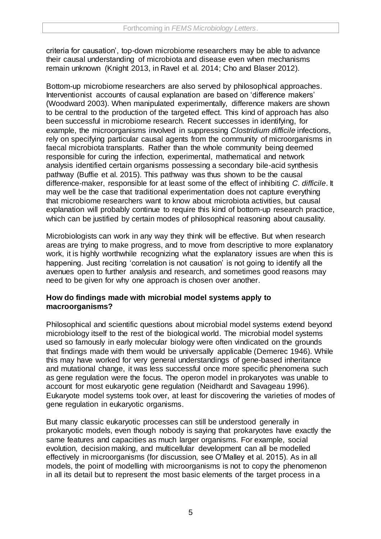criteria for causation', top-down microbiome researchers may be able to advance their causal understanding of microbiota and disease even when mechanisms remain unknown (Knight 2013, in Ravel et al. 2014; Cho and Blaser 2012).

Bottom-up microbiome researchers are also served by philosophical approaches. Interventionist accounts of causal explanation are based on 'difference makers' (Woodward 2003). When manipulated experimentally, difference makers are shown to be central to the production of the targeted effect. This kind of approach has also been successful in microbiome research. Recent successes in identifying, for example, the microorganisms involved in suppressing *Clostridium difficile* infections, rely on specifying particular causal agents from the community of microorganisms in faecal microbiota transplants. Rather than the whole community being deemed responsible for curing the infection, experimental, mathematical and network analysis identified certain organisms possessing a secondary bile-acid synthesis pathway (Buffie et al. 2015). This pathway was thus shown to be the causal difference-maker, responsible for at least some of the effect of inhibiting *C. difficile*. It may well be the case that traditional experimentation does not capture everything that microbiome researchers want to know about microbiota activities, but causal explanation will probably continue to require this kind of bottom-up research practice, which can be justified by certain modes of philosophical reasoning about causality.

Microbiologists can work in any way they think will be effective. But when research areas are trying to make progress, and to move from descriptive to more explanatory work, it is highly worthwhile recognizing what the explanatory issues are when this is happening. Just reciting 'correlation is not causation' is not going to identify all the avenues open to further analysis and research, and sometimes good reasons may need to be given for why one approach is chosen over another.

## **How do findings made with microbial model systems apply to macroorganisms?**

Philosophical and scientific questions about microbial model systems extend beyond microbiology itself to the rest of the biological world. The microbial model systems used so famously in early molecular biology were often vindicated on the grounds that findings made with them would be universally applicable (Demerec 1946). While this may have worked for very general understandings of gene-based inheritance and mutational change, it was less successful once more specific phenomena such as gene regulation were the focus. The operon model in prokaryotes was unable to account for most eukaryotic gene regulation (Neidhardt and Savageau 1996). Eukaryote model systems took over, at least for discovering the varieties of modes of gene regulation in eukaryotic organisms.

But many classic eukaryotic processes can still be understood generally in prokaryotic models, even though nobody is saying that prokaryotes have exactly the same features and capacities as much larger organisms. For example, social evolution, decision making, and multicellular development can all be modelled effectively in microorganisms (for discussion, see O'Malley et al. 2015). As in all models, the point of modelling with microorganisms is not to copy the phenomenon in all its detail but to represent the most basic elements of the target process in a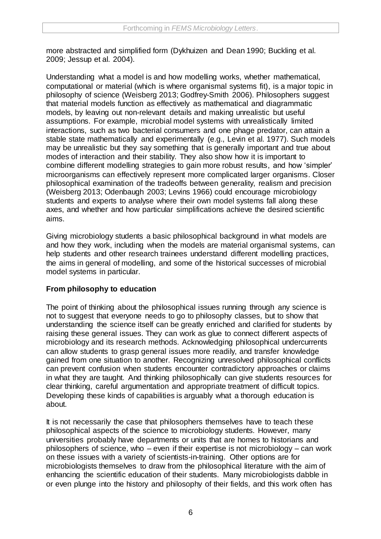more abstracted and simplified form (Dykhuizen and Dean 1990; Buckling et al. 2009; Jessup et al. 2004).

Understanding what a model is and how modelling works, whether mathematical, computational or material (which is where organismal systems fit), is a major topic in philosophy of science (Weisberg 2013; Godfrey-Smith 2006). Philosophers suggest that material models function as effectively as mathematical and diagrammatic models, by leaving out non-relevant details and making unrealistic but useful assumptions. For example, microbial model systems with unrealistically limited interactions, such as two bacterial consumers and one phage predator, can attain a stable state mathematically and experimentally (e.g., Levin et al. 1977). Such models may be unrealistic but they say something that is generally important and true about modes of interaction and their stability. They also show how it is important to combine different modelling strategies to gain more robust results, and how 'simpler' microorganisms can effectively represent more complicated larger organisms. Closer philosophical examination of the tradeoffs between generality, realism and precision (Weisberg 2013; Odenbaugh 2003; Levins 1966) could encourage microbiology students and experts to analyse where their own model systems fall along these axes, and whether and how particular simplifications achieve the desired scientific aims.

Giving microbiology students a basic philosophical background in what models are and how they work, including when the models are material organismal systems, can help students and other research trainees understand different modelling practices, the aims in general of modelling, and some of the historical successes of microbial model systems in particular.

# **From philosophy to education**

The point of thinking about the philosophical issues running through any science is not to suggest that everyone needs to go to philosophy classes, but to show that understanding the science itself can be greatly enriched and clarified for students by raising these general issues. They can work as glue to connect different aspects of microbiology and its research methods. Acknowledging philosophical undercurrents can allow students to grasp general issues more readily, and transfer knowledge gained from one situation to another. Recognizing unresolved philosophical conflicts can prevent confusion when students encounter contradictory approaches or claims in what they are taught. And thinking philosophically can give students resources for clear thinking, careful argumentation and appropriate treatment of difficult topics. Developing these kinds of capabilities is arguably what a thorough education is about.

It is not necessarily the case that philosophers themselves have to teach these philosophical aspects of the science to microbiology students. However, many universities probably have departments or units that are homes to historians and philosophers of science, who – even if their expertise is not microbiology – can work on these issues with a variety of scientists-in-training. Other options are for microbiologists themselves to draw from the philosophical literature with the aim of enhancing the scientific education of their students. Many microbiologists dabble in or even plunge into the history and philosophy of their fields, and this work often has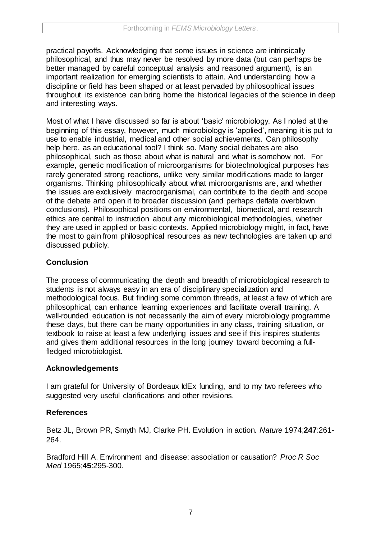practical payoffs. Acknowledging that some issues in science are intrinsically philosophical, and thus may never be resolved by more data (but can perhaps be better managed by careful conceptual analysis and reasoned argument), is an important realization for emerging scientists to attain. And understanding how a discipline or field has been shaped or at least pervaded by philosophical issues throughout its existence can bring home the historical legacies of the science in deep and interesting ways.

Most of what I have discussed so far is about 'basic' microbiology. As I noted at the beginning of this essay, however, much microbiology is 'applied', meaning it is put to use to enable industrial, medical and other social achievements. Can philosophy help here, as an educational tool? I think so. Many social debates are also philosophical, such as those about what is natural and what is somehow not. For example, genetic modification of microorganisms for biotechnological purposes has rarely generated strong reactions, unlike very similar modifications made to larger organisms. Thinking philosophically about what microorganisms are, and whether the issues are exclusively macroorganismal, can contribute to the depth and scope of the debate and open it to broader discussion (and perhaps deflate overblown conclusions). Philosophical positions on environmental, biomedical, and research ethics are central to instruction about any microbiological methodologies, whether they are used in applied or basic contexts. Applied microbiology might, in fact, have the most to gain from philosophical resources as new technologies are taken up and discussed publicly.

# **Conclusion**

The process of communicating the depth and breadth of microbiological research to students is not always easy in an era of disciplinary specialization and methodological focus. But finding some common threads, at least a few of which are philosophical, can enhance learning experiences and facilitate overall training. A well-rounded education is not necessarily the aim of every microbiology programme these days, but there can be many opportunities in any class, training situation, or textbook to raise at least a few underlying issues and see if this inspires students and gives them additional resources in the long journey toward becoming a fullfledged microbiologist.

# **Acknowledgements**

I am grateful for University of Bordeaux IdEx funding, and to my two referees who suggested very useful clarifications and other revisions.

# **References**

Betz JL, Brown PR, Smyth MJ, Clarke PH. Evolution in action. *Nature* 1974;**247**:261- 264.

Bradford Hill A. Environment and disease: association or causation? *Proc R Soc Med* 1965;**45**:295-300.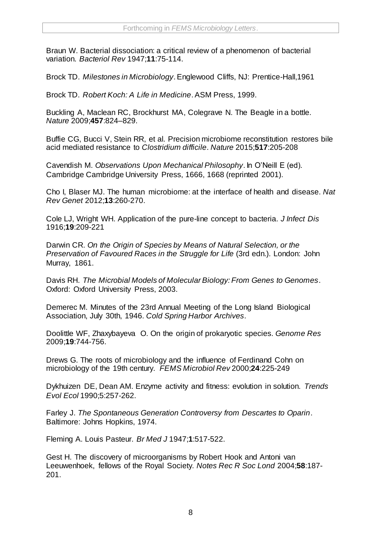Braun W. Bacterial dissociation: a critical review of a phenomenon of bacterial variation. *Bacteriol Rev* 1947;**11**:75-114.

Brock TD. *Milestones in Microbiology*. Englewood Cliffs, NJ: Prentice-Hall,1961

Brock TD. *Robert Koch: A Life in Medicine*. ASM Press, 1999.

Buckling A, Maclean RC, Brockhurst MA, Colegrave N. The Beagle in a bottle. *Nature* 2009;**457**:824–829.

Buffie CG, Bucci V, Stein RR, et al. Precision microbiome reconstitution restores bile acid mediated resistance to *Clostridium difficile*. *Nature* 2015;**517**:205-208

Cavendish M. *Observations Upon Mechanical Philosophy*. In O'Neill E (ed). Cambridge Cambridge University Press, 1666, 1668 (reprinted 2001).

Cho I, Blaser MJ. The human microbiome: at the interface of health and disease. *Nat Rev Genet* 2012;**13**:260-270.

Cole LJ, Wright WH. Application of the pure-line concept to bacteria. *J Infect Dis* 1916;**19**:209-221

Darwin CR. *On the Origin of Species by Means of Natural Selection, or the Preservation of Favoured Races in the Struggle for Life* (3rd edn.). London: John Murray, 1861.

Davis RH. *The Microbial Models of Molecular Biology: From Genes to Genomes*. Oxford: Oxford University Press, 2003.

Demerec M. Minutes of the 23rd Annual Meeting of the Long Island Biological Association, July 30th, 1946. *Cold Spring Harbor Archives*.

Doolittle WF, Zhaxybayeva O. On the origin of prokaryotic species. *Genome Res* 2009;**19**:744-756.

Drews G. The roots of microbiology and the influence of Ferdinand Cohn on microbiology of the 19th century. *FEMS Microbiol Rev* 2000;**24**:225-249

Dykhuizen DE, Dean AM. Enzyme activity and fitness: evolution in solution. *Trends Evol Ecol* 1990;5:257-262.

Farley J. *The Spontaneous Generation Controversy from Descartes to Oparin*. Baltimore: Johns Hopkins, 1974.

Fleming A. Louis Pasteur. *Br Med J* 1947;**1**:517-522.

Gest H. The discovery of microorganisms by Robert Hook and Antoni van Leeuwenhoek, fellows of the Royal Society. *Notes Rec R Soc Lond* 2004;**58**:187- 201.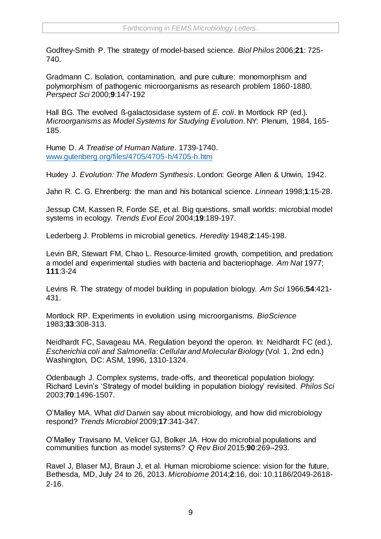Godfrey-Smith P. The strategy of model-based science. *Biol Philos* 2006;**21**: 725- 740.

Gradmann C. Isolation, contamination, and pure culture: monomorphism and polymorphism of pathogenic microorganisms as research problem 1860-1880. *Perspect Sci* 2000;**9**:147-192

Hall BG. The evolved ß-galactosidase system of *E. coli*. In Mortlock RP (ed.). *Microorganisms as Model Systems for Studying Evolution*. NY: Plenum, 1984, 165- 185.

Hume D. *A Treatise of Human Nature*. 1739-1740. [www.gutenberg.org/files/4705/4705-h/4705-h.htm](http://www.gutenberg.org/files/4705/4705-h/4705-h.htm)

Huxley J. *Evolution: The Modern Synthesis*. London: George Allen & Unwin, 1942.

Jahn R. C. G. Ehrenberg: the man and his botanical science. *Linnean* 1998;**1**:15-28.

Jessup CM, Kassen R, Forde SE, et al. Big questions, small worlds: microbial model systems in ecology. *Trends Evol Ecol* 2004;**19**:189-197.

Lederberg J. Problems in microbial genetics. *Heredity* 1948;**2**:145-198.

Levin BR, Stewart FM, Chao L. Resource-limited growth, competition, and predation: a model and experimental studies with bacteria and bacteriophage. *Am Nat* 1977; **111**:3-24

Levins R. The strategy of model building in population biology. *Am Sci* 1966;**54**:421- 431.

Mortlock RP. Experiments in evolution using microorganisms. *BioScience* 1983;**33**:308-313.

Neidhardt FC, Savageau MA. Regulation beyond the operon. In: Neidhardt FC (ed.), *Escherichia coli and Salmonella*: *Cellular and Molecular Biology* (Vol. 1, 2nd edn.) Washington, DC: ASM, 1996, 1310-1324.

Odenbaugh J. Complex systems, trade-offs, and theoretical population biology: Richard Levin's 'Strategy of model building in population biology' revisited. *Philos Sci* 2003;**70**:1496-1507.

O'Malley MA. What *did* Darwin say about microbiology, and how did microbiology respond? *Trends Microbiol* 2009;**17**:341-347.

O'Malley Travisano M, Velicer GJ, Bolker JA. How do microbial populations and communities function as model systems? *Q Rev Biol* 2015;**90**:269–293.

Ravel J, Blaser MJ, Braun J, et al. Human microbiome science: vision for the future, Bethesda, MD, July 24 to 26, 2013. *Microbiome* 2014;**2**:16, doi: 10.1186/2049-2618- 2-16.